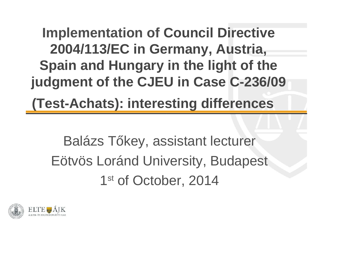**Implementation of Council Directive 2004/113/EC in Germany, Austria, Spain and Hungary in the light of the judgment of the CJEU in Case C-236/09**

**(Test-Achats): interesting differences**

Balázs T key, assistant lecturer Eötvös Loránd University, Budapest 1st of October, 2014

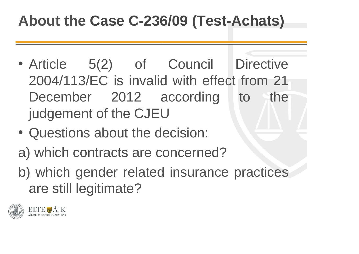#### **About the Case C-236/09 (Test-Achats)**

- Article 5(2) of Council Directive 2004/113/EC is invalid with effect from 21 December 2012 according to the judgement of the CJEU
- Questions about the decision:
- a) which contracts are concerned?
- b) which gender related insurance practices are still legitimate?

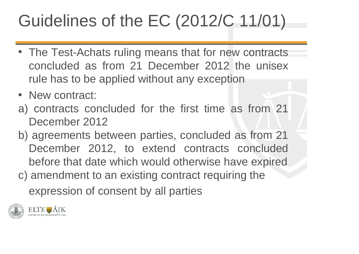#### Guidelines of the EC (2012/C 11/01)

- The Test-Achats ruling means that for new contracts concluded as from 21 December 2012 the unisex rule has to be applied without any exception
- New contract:
- a) contracts concluded for the first time as from 21 December 2012
- b) agreements between parties, concluded as from 21 December 2012, to extend contracts concluded before that date which would otherwise have expired
- c) amendment to an existing contract requiring the

expression of consent by all parties

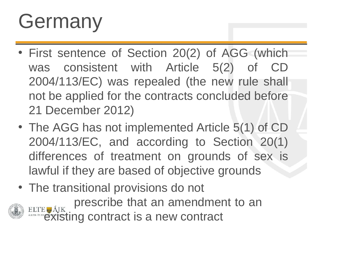## Germany

- First sentence of Section 20(2) of AGG (which was consistent with Article 5(2) of CD 2004/113/EC) was repealed (the new rule shall not be applied for the contracts concluded before 21 December 2012)
- The AGG has not implemented Article 5(1) of CD 2004/113/EC, and according to Section 20(1) differences of treatment on grounds of sex is lawful if they are based of objective grounds
- The transitional provisions do not prescribe that an amendment to an ELTE AIK PIGSUING WICH SON SON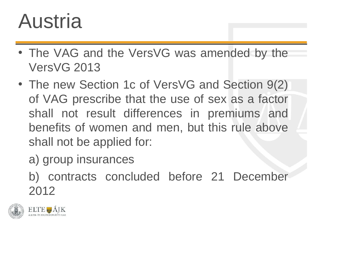#### Austria

- The VAG and the VersVG was amended by the VersVG 2013
- The new Section 1c of VersVG and Section 9(2) of VAG prescribe that the use of sex as a factor shall not result differences in premiums and benefits of women and men, but this rule above shall not be applied for:
	- a) group insurances
	- b) contracts concluded before 21 December 2012

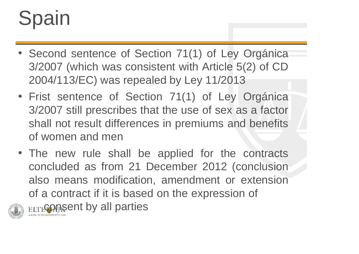# Spain

- Second sentence of Section 71(1) of Ley Orgánica 3/2007 (which was consistent with Article 5(2) of CD 2004/113/EC) was repealed by Ley 11/2013
- Frist sentence of Section 71(1) of Ley Orgánica 3/2007 still prescribes that the use of sex as a factor shall not result differences in premiums and benefits of women and men
- The new rule shall be applied for the contracts concluded as from 21 December 2012 (conclusion also means modification, amendment or extension of a contract if it is based on the expression of



**ELTECONSENT by all parties**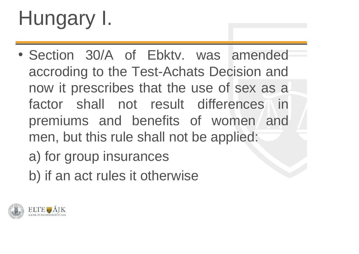# Hungary I.

- Section 30/A of Ebktv. was amended accroding to the Test-Achats Decision and now it prescribes that the use of sex as a factor shall not result differences in premiums and benefits of women and men, but this rule shall not be applied:
	- a) for group insurances
	- b) if an act rules it otherwise

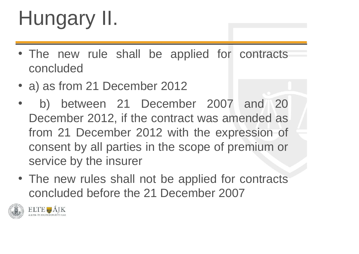# Hungary II.

- The new rule shall be applied for contracts concluded
- a) as from 21 December 2012
- b) between 21 December 2007 and 20 December 2012, if the contract was amended as from 21 December 2012 with the expression of consent by all parties in the scope of premium or service by the insurer
- The new rules shall not be applied for contracts concluded before the 21 December 2007